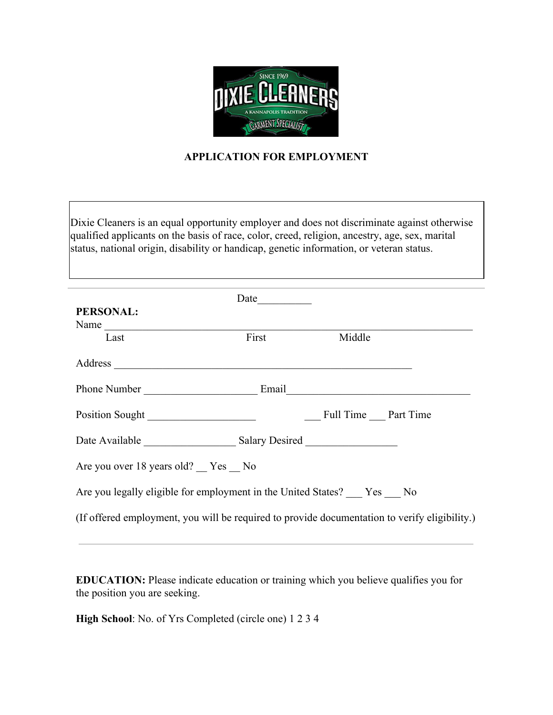

## **APPLICATION FOR EMPLOYMENT**

Dixie Cleaners is an equal opportunity employer and does not discriminate against otherwise qualified applicants on the basis of race, color, creed, religion, ancestry, age, sex, marital status, national origin, disability or handicap, genetic information, or veteran status.

|                                                                                               | Date  |                     |  |
|-----------------------------------------------------------------------------------------------|-------|---------------------|--|
| PERSONAL:                                                                                     |       |                     |  |
|                                                                                               |       |                     |  |
| Last                                                                                          | First | Middle              |  |
|                                                                                               |       |                     |  |
|                                                                                               |       |                     |  |
| Position Sought                                                                               |       | Full Time Part Time |  |
|                                                                                               |       |                     |  |
| Are you over 18 years old? Yes No                                                             |       |                     |  |
| Are you legally eligible for employment in the United States? Yes No                          |       |                     |  |
| (If offered employment, you will be required to provide documentation to verify eligibility.) |       |                     |  |

**EDUCATION:** Please indicate education or training which you believe qualifies you for the position you are seeking.

**High School**: No. of Yrs Completed (circle one) 1 2 3 4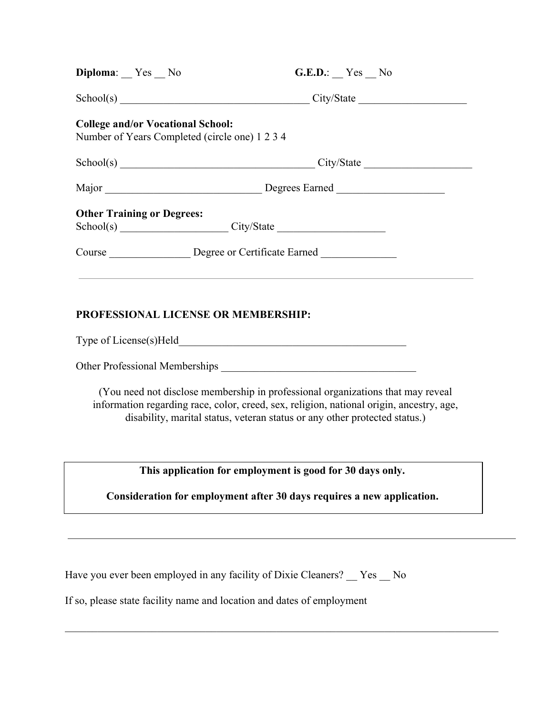| Diploma: Yes No                          | G.E.D.: Yes No                                        |  |
|------------------------------------------|-------------------------------------------------------|--|
|                                          | School(s) City/State City/State                       |  |
| <b>College and/or Vocational School:</b> | Number of Years Completed (circle one) 1 2 3 4        |  |
|                                          | School(s) City/State City/State                       |  |
|                                          |                                                       |  |
| <b>Other Training or Degrees:</b>        |                                                       |  |
|                                          | School(s) City/State City/State                       |  |
|                                          | Course _________________ Degree or Certificate Earned |  |
|                                          |                                                       |  |
|                                          | PROFESSIONAL LICENSE OR MEMBERSHIP:                   |  |

Type of License(s)Held\_\_\_\_\_\_\_\_\_\_\_\_\_\_\_\_\_\_\_\_\_\_\_\_\_\_\_\_\_\_\_\_\_\_\_\_\_\_\_\_\_\_

Other Professional Memberships  $\Box$ 

(You need not disclose membership in professional organizations that may reveal information regarding race, color, creed, sex, religion, national origin, ancestry, age, disability, marital status, veteran status or any other protected status.)

**This application for employment is good for 30 days only.**

**Consideration for employment after 30 days requires a new application.**

 $\mathcal{L}_\mathcal{L} = \{ \mathcal{L}_\mathcal{L} = \{ \mathcal{L}_\mathcal{L} = \{ \mathcal{L}_\mathcal{L} = \{ \mathcal{L}_\mathcal{L} = \{ \mathcal{L}_\mathcal{L} = \{ \mathcal{L}_\mathcal{L} = \{ \mathcal{L}_\mathcal{L} = \{ \mathcal{L}_\mathcal{L} = \{ \mathcal{L}_\mathcal{L} = \{ \mathcal{L}_\mathcal{L} = \{ \mathcal{L}_\mathcal{L} = \{ \mathcal{L}_\mathcal{L} = \{ \mathcal{L}_\mathcal{L} = \{ \mathcal{L}_\mathcal{$ 

Have you ever been employed in any facility of Dixie Cleaners? \_\_ Yes \_\_ No

If so, please state facility name and location and dates of employment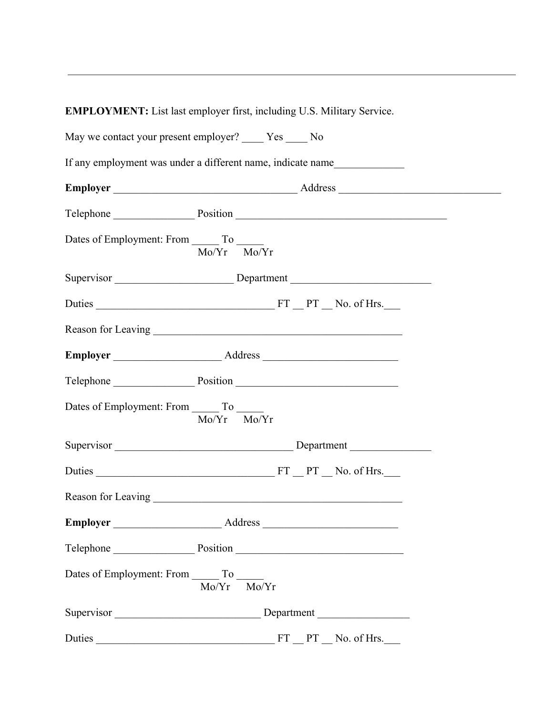**EMPLOYMENT:** List last employer first, including U.S. Military Service.

| May we contact your present employer? _____ Yes _____ No    |                 |                             |
|-------------------------------------------------------------|-----------------|-----------------------------|
| If any employment was under a different name, indicate name |                 |                             |
|                                                             |                 |                             |
|                                                             |                 | Telephone Position Position |
| Dates of Employment: From _______ To ______                 | $Mo/Yr$ $Mo/Yr$ |                             |
|                                                             |                 | Supervisor Department       |
|                                                             |                 |                             |
|                                                             |                 |                             |
|                                                             |                 |                             |
| Telephone Position Position                                 |                 |                             |
| Dates of Employment: From _______ To ______                 | $Mo/Yr$ $Mo/Yr$ |                             |
|                                                             |                 |                             |
|                                                             |                 |                             |
|                                                             |                 |                             |
|                                                             |                 |                             |
| Telephone Position Position                                 |                 |                             |
| Dates of Employment: From ________ To _______               | Mo/Yr<br>Mo/Yr  |                             |
| Supervisor Department                                       |                 |                             |
|                                                             |                 |                             |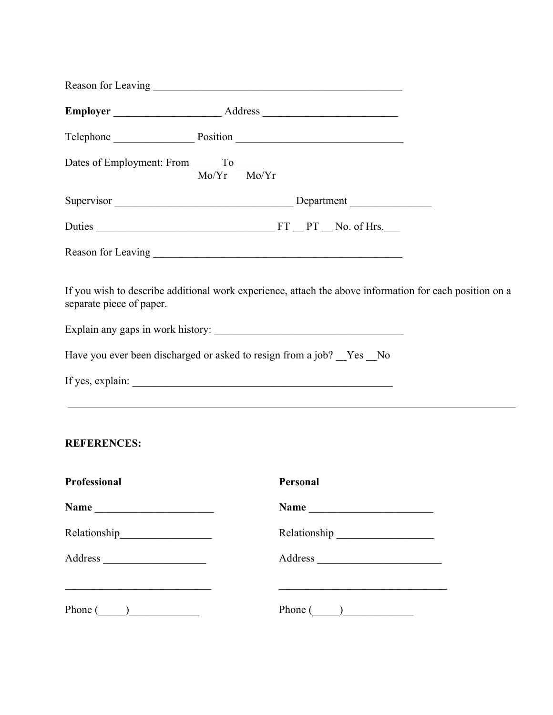|                          |                                                                  | Telephone Position Position                                                                                  |
|--------------------------|------------------------------------------------------------------|--------------------------------------------------------------------------------------------------------------|
|                          | Dates of Employment: From ________ To _______<br>$Mo/Yr$ $Mo/Yr$ |                                                                                                              |
|                          |                                                                  | Supervisor Department                                                                                        |
|                          |                                                                  |                                                                                                              |
|                          |                                                                  |                                                                                                              |
| separate piece of paper. |                                                                  | If you wish to describe additional work experience, attach the above information for each position on a      |
|                          |                                                                  |                                                                                                              |
|                          |                                                                  | Have you ever been discharged or asked to resign from a job? _Yes _No                                        |
|                          |                                                                  | <u> 1989 - Johann Stoff, amerikansk politiker (* 1908)</u>                                                   |
| <b>REFERENCES:</b>       |                                                                  |                                                                                                              |
| Professional             |                                                                  | Personal                                                                                                     |
|                          |                                                                  |                                                                                                              |
|                          |                                                                  |                                                                                                              |
| Address                  |                                                                  |                                                                                                              |
| Phone $(\_\_)$           |                                                                  | the control of the control of the control of the control of the control of the control of<br>Phone $\qquad)$ |